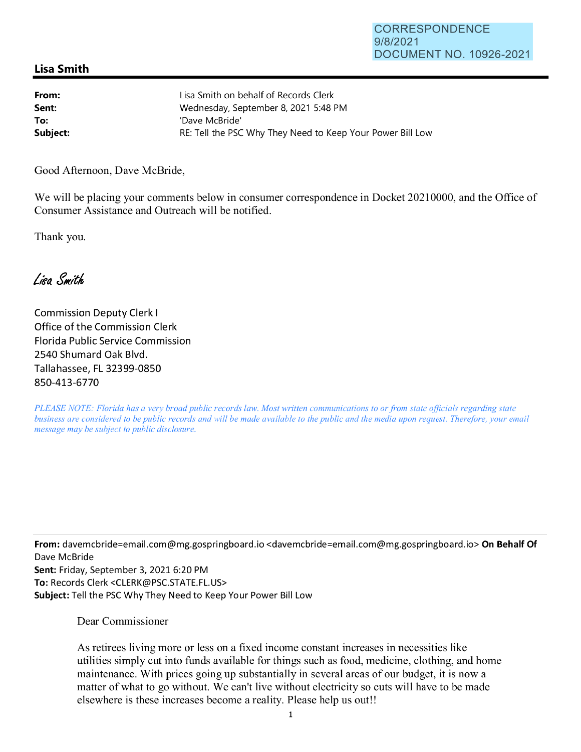## **CORRESPONDENCE** 9/8/2021 DOCUMENT NO. 10926-2021

## **Lisa Smith**

| From:    | Lisa Smith on behalf of Records Clerk                      |
|----------|------------------------------------------------------------|
| Sent:    | Wednesday, September 8, 2021 5:48 PM                       |
| To:      | 'Dave McBride'                                             |
| Subject: | RE: Tell the PSC Why They Need to Keep Your Power Bill Low |

Good Afternoon, Dave McBride,

We will be placing your comments below in consumer correspondence in Docket 20210000, and the Office of Consumer Assistance and Outreach will be notified.

Thank you.

Lisa Smith

Commission Deputy Clerk I Office of the Commission Clerk Florida Public Service Commission 2540 Shumard Oak Blvd. Tallahassee, FL 32399-0850 850-413-6770

*PLEASE NOTE: Florida has a very broad public records law. Most written communications to or from state officials regarding state business are considered to be public records and will be made available to the public and the media upon request. Therefore, your email message may be subject to public disclosure.* 

**From:** davemcbride=email.com@mg.gospringboard.io <davemcbride=email.com@mg.gospringboard.io> **On Behalf Of**  Dave McBride

**Sent:** Friday, September 3, 2021 6:20 PM **To:** Records Clerk <CLERK@PSC.STATE.FL.US> **Subject:** Tell the PSC Why They Need to Keep Your Power Bill Low

Dear Commissioner

As retirees living more or less on a fixed income constant increases in necessities like utilities simply cut into funds available for things such as food, medicine, clothing, and home maintenance. With prices going up substantially in several areas of our budget, it is now a matter of what to go without. We can't live without electricity so cuts will have to be made elsewhere is these increases become a reality. Please help us out!!